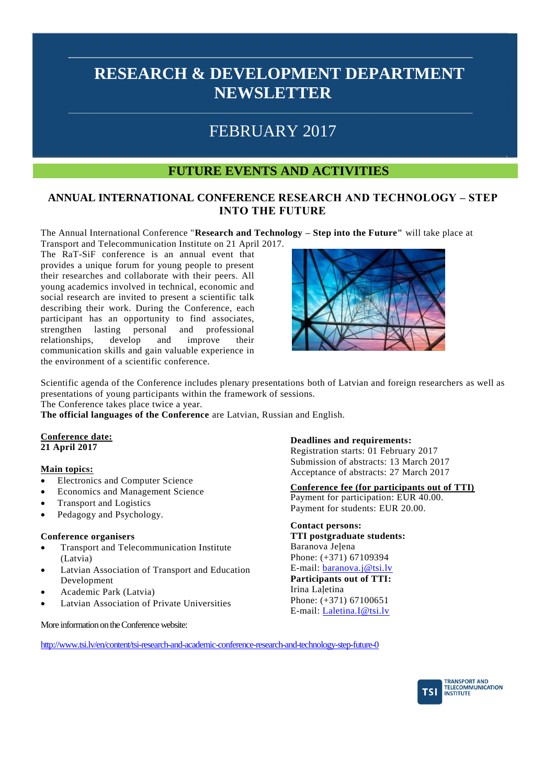# FEBRUARY 2017

### **FUTURE EVENTS AND ACTIVITIES**

### **ANNUAL INTERNATIONAL CONFERENCE RESEARCH AND TECHNOLOGY – STEP INTO THE FUTURE**

The Annual International Conference "**Research and Technology – Step into the Future"** will take place at

Transport and Telecommunication Institute on 21 April 2017. The RaT-SiF conference is an annual event that provides a unique forum for young people to present their researches and collaborate with their peers. All young academics involved in technical, economic and social research are invited to present a scientific talk describing their work. During the Conference, each participant has an opportunity to find associates, strengthen lasting personal and professional relationships, develop and improve their communication skills and gain valuable experience in the environment of a scientific conference.



Scientific agenda of the Conference includes plenary presentations both of Latvian and foreign researchers as well as presentations of young participants within the framework of sessions.

The Conference takes place twice a year.

**The official languages of the Conference** are Latvian, Russian and English.

#### **Conference date: 21 April 2017**

### **Main topics:**

- Electronics and Computer Science
- Economics and Management Science
- Transport and Logistics
- Pedagogy and Psychology.

### **Conference organisers**

- Transport and Telecommunication Institute (Latvia)
- Latvian Association of Transport and Education Development
- Academic Park (Latvia)
- Latvian Association of Private Universities

More information on the Conference website:

### **Deadlines and requirements:**

Registration starts: 01 February 2017 Submission of abstracts: 13 March 2017 Acceptance of abstracts: 27 March 2017

### **Conference fee (for participants out of TTI)**

Payment for participation: EUR 40.00. Payment for students: EUR 20.00.

**Contact persons: TTI postgraduate students:** Baranova Jelena Phone: (+371) 67109394 E-mail: [baranova.j@tsi.lv](mailto:baranova.j@tsi.lv) **Participants out of TTI:**

Irina Laletina Phone: (+371) 67100651 E-mail: [Laletina.I@tsi.lv](mailto:Laletina.I@tsi.lv)

<http://www.tsi.lv/en/content/tsi-research-and-academic-conference-research-and-technology-step-future-0>

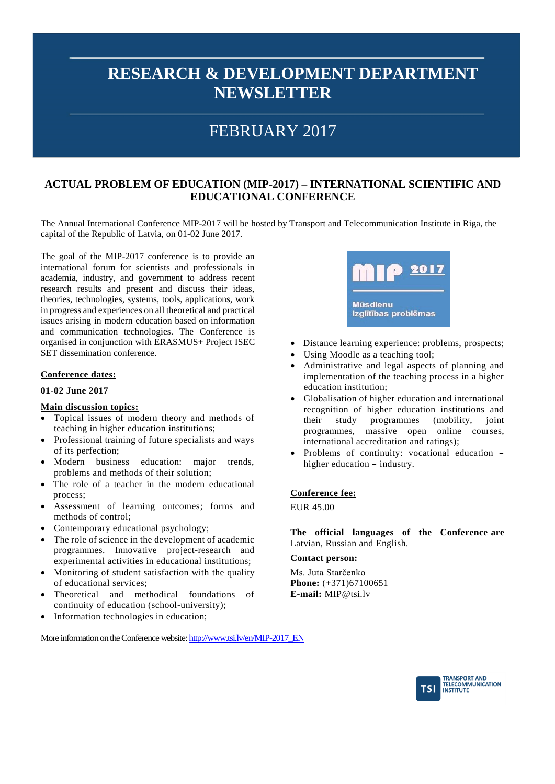## FEBRUARY 2017

### **ACTUAL PROBLEM OF EDUCATION (MIP-2017) – INTERNATIONAL SCIENTIFIC AND EDUCATIONAL CONFERENCE**

The Annual International Conference MIP-2017 will be hosted by Transport and Telecommunication Institute in Riga, the capital of the Republic of Latvia, on 01-02 June 2017.

The goal of the MIP-2017 conference is to provide an international forum for scientists and professionals in academia, industry, and government to address recent research results and present and discuss their ideas, theories, technologies, systems, tools, applications, work in progress and experiences on all theoretical and practical issues arising in modern education based on information and communication technologies. The Conference is organised in conjunction with ERASMUS+ Project ISEC SET dissemination conference.

### **Conference dates:**

#### **01-02 June 2017**

#### **Main discussion topics:**

- Topical issues of modern theory and methods of teaching in higher education institutions;
- Professional training of future specialists and ways of its perfection;
- Modern business education: major trends, problems and methods of their solution;
- The role of a teacher in the modern educational process;
- Assessment of learning outcomes; forms and methods of control;
- Contemporary educational psychology;
- The role of science in the development of academic programmes. Innovative project-research and experimental activities in educational institutions;
- Monitoring of student satisfaction with the quality of educational services;
- Theoretical and methodical foundations of continuity of education (school-university);
- Information technologies in education;



- Distance learning experience: problems, prospects;
- Using Moodle as a teaching tool;
- Administrative and legal aspects of planning and implementation of the teaching process in a higher education institution;
- Globalisation of higher education and international recognition of higher education institutions and their study programmes (mobility, joint programmes, massive open online courses, international accreditation and ratings);
- Problems of continuity: vocational education higher education – industry.

#### **Conference fee:**

EUR 45.00

**The official languages of the Conference are** Latvian, Russian and English.

#### **Contact person:**

Ms. Juta Starčenko **Phone:** (+371)67100651 **E-mail:** [MIP@tsi.lv](mailto:MIP@tsi.lv)

More information on the Conference website: [http://www.tsi.lv/en/MIP-2017\\_EN](http://www.tsi.lv/en/MIP-2017_EN)

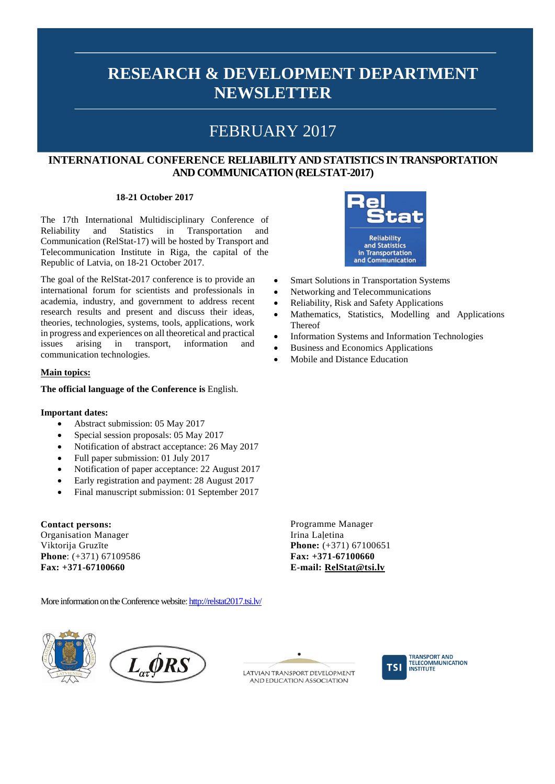## FEBRUARY 2017

### **INTERNATIONAL CONFERENCE RELIABILITY AND STATISTICS IN TRANSPORTATION AND COMMUNICATION (RELSTAT-2017)**

#### **18-21 October 2017**

The 17th International Multidisciplinary Conference of Reliability and Statistics in Transportation and Communication (RelStat-17) will be hosted by Transport and Telecommunication Institute in Riga, the capital of the Republic of Latvia, on 18-21 October 2017.

The goal of the RelStat-2017 conference is to provide an international forum for scientists and professionals in academia, industry, and government to address recent research results and present and discuss their ideas, theories, technologies, systems, tools, applications, work in progress and experiences on all theoretical and practical issues arising in transport, information and communication technologies.

### **Main topics:**

#### **The official language of the Conference is** English.

#### **Important dates:**

- Abstract submission: 05 May 2017
- Special session proposals: 05 May 2017
- Notification of abstract acceptance: 26 May 2017
- Full paper submission: 01 July 2017
- Notification of paper acceptance: 22 August 2017
- Early registration and payment: 28 August 2017
- Final manuscript submission: 01 September 2017

**Contact persons:** Organisation Manager Viktorija Gruzīte **Phone**: (+371) 67109586 **Fax: +371-67100660**

More information on the Conference website[: http://relstat2017.tsi.lv/](http://relstat2017.tsi.lv/)



 $L_{\alpha} \phi RS$ 



AND EDUCATION ASSOCIATION



**TRANSPORT AND TELECOMMUNICATION INSTITUTE** 



- Smart Solutions in Transportation Systems
- Networking and Telecommunications
- Reliability, Risk and Safety Applications
- Mathematics, Statistics, Modelling and Applications Thereof
- Information Systems and Information Technologies
- Business and Economics Applications
- Mobile and Distance Education

Programme Manager Irina Laļetina **Phone:** (+371) 67100651 **Fax: +371-67100660 E-mail: [RelStat@tsi.lv](mailto:RelStat@tsi.lv)**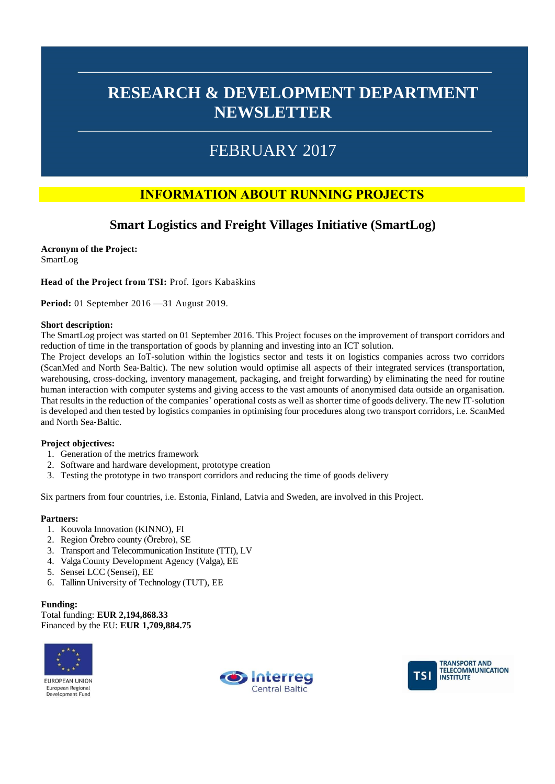## FEBRUARY 2017

## **INFORMATION ABOUT RUNNING PROJECTS**

### **Smart Logistics and Freight Villages Initiative (SmartLog)**

**Acronym of the Project:** SmartLog

**Head of the Project from TSI:** Prof. Igors Kabaškins

**Period:** 01 September 2016 —31 August 2019.

#### **Short description:**

The SmartLog project was started on 01 September 2016. This Project focuses on the improvement of transport corridors and reduction of time in the transportation of goods by planning and investing into an ICT solution.

The Project develops an IoT‐solution within the logistics sector and tests it on logistics companies across two corridors (ScanMed and North Sea‐Baltic). The new solution would optimise all aspects of their integrated services (transportation, warehousing, cross-docking, inventory management, packaging, and freight forwarding) by eliminating the need for routine human interaction with computer systems and giving access to the vast amounts of anonymised data outside an organisation. That results in the reduction of the companies' operational costs as well as shorter time of goods delivery. The new IT‐solution is developed and then tested by logistics companies in optimising four procedures along two transport corridors, i.e. ScanMed and North Sea‐Baltic.

### **Project objectives:**

- 1. Generation of the metrics framework
- 2. Software and hardware development, prototype creation
- 3. Testing the prototype in two transport corridors and reducing the time of goods delivery

Six partners from four countries, i.e. Estonia, Finland, Latvia and Sweden, are involved in this Project.

#### **Partners:**

- 1. Kouvola Innovation (KINNO), FI
- 2. Region Örebro county (Örebro), SE
- 3. Transport and Telecommunication Institute (TTI), LV
- 4. Valga County Development Agency (Valga), EE
- 5. Sensei LCC (Sensei), EE
- 6. Tallinn University of Technology (TUT), EE

#### **Funding:**

Total funding: **EUR 2,194,868.33** 

Financed by the EU: **EUR 1,709,884.75** 





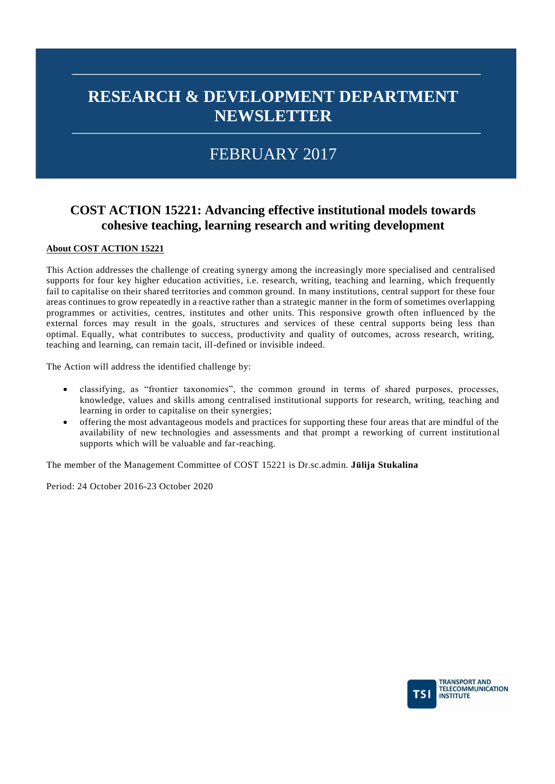# FEBRUARY 2017

## **COST ACTION 15221: Advancing effective institutional models towards cohesive teaching, learning research and writing development**

### **About COST ACTION 15221**

This Action addresses the challenge of creating synergy among the increasingly more specialised and centralised supports for four key higher education activities, i.e. research, writing, teaching and learning, which frequently fail to capitalise on their shared territories and common ground. In many institutions, central support for these four areas continues to grow repeatedly in a reactive rather than a strategic manner in the form of sometimes overlapping programmes or activities, centres, institutes and other units. This responsive growth often influenced by the external forces may result in the goals, structures and services of these central supports being less than optimal. Equally, what contributes to success, productivity and quality of outcomes, across research, writing, teaching and learning, can remain tacit, ill-defined or invisible indeed.

The Action will address the identified challenge by:

- classifying, as "frontier taxonomies", the common ground in terms of shared purposes, processes, knowledge, values and skills among centralised institutional supports for research, writing, teaching and learning in order to capitalise on their synergies;
- offering the most advantageous models and practices for supporting these four areas that are mindful of the availability of new technologies and assessments and that prompt a reworking of current institution al supports which will be valuable and far-reaching.

The member of the Management Committee of COST 15221 is Dr.sc.admin. **Jūlija Stukalina**

Period: 24 October 2016-23 October 2020

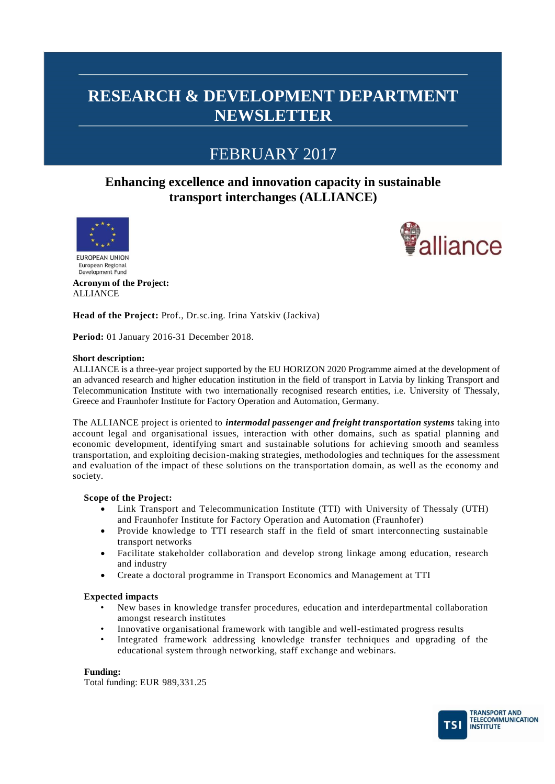## FEBRUARY 2017

### **Enhancing excellence and innovation capacity in sustainable transport interchanges (ALLIANCE)**





**EUROPEAN UNION** European Regional Development Fund

**Acronym of the Project:** ALLIANCE

**Head of the Project:** Prof., Dr.sc.ing. Irina Yatskiv (Jackiva)

**Period:** 01 January 2016-31 December 2018.

#### **Short description:**

ALLIANCE is a three-year project supported by the EU HORIZON 2020 Programme aimed at the development of an advanced research and higher education institution in the field of transport in Latvia by linking Transport and Telecommunication Institute with two internationally recognised research entities, i.e. University of Thessaly, Greece and Fraunhofer Institute for Factory Operation and Automation, Germany.

The ALLIANCE project is oriented to *intermodal passenger and freight transportation systems* taking into account legal and organisational issues, interaction with other domains, such as spatial planning and economic development, identifying smart and sustainable solutions for achieving smooth and seamless transportation, and exploiting decision-making strategies, methodologies and techniques for the assessment and evaluation of the impact of these solutions on the transportation domain, as well as the economy and society.

### **Scope of the Project:**

- Link Transport and Telecommunication Institute (TTI) with University of Thessaly (UTH) and Fraunhofer Institute for Factory Operation and Automation (Fraunhofer)
- Provide knowledge to TTI research staff in the field of smart interconnecting sustainable transport networks
- Facilitate stakeholder collaboration and develop strong linkage among education, research and industry
- Create a doctoral programme in Transport Economics and Management at TTI

#### **Expected impacts**

- New bases in knowledge transfer procedures, education and interdepartmental collaboration amongst research institutes
- Innovative organisational framework with tangible and well-estimated progress results
- Integrated framework addressing knowledge transfer techniques and upgrading of the educational system through networking, staff exchange and webinars.

#### **Funding:**

Total funding: EUR 989,331.25

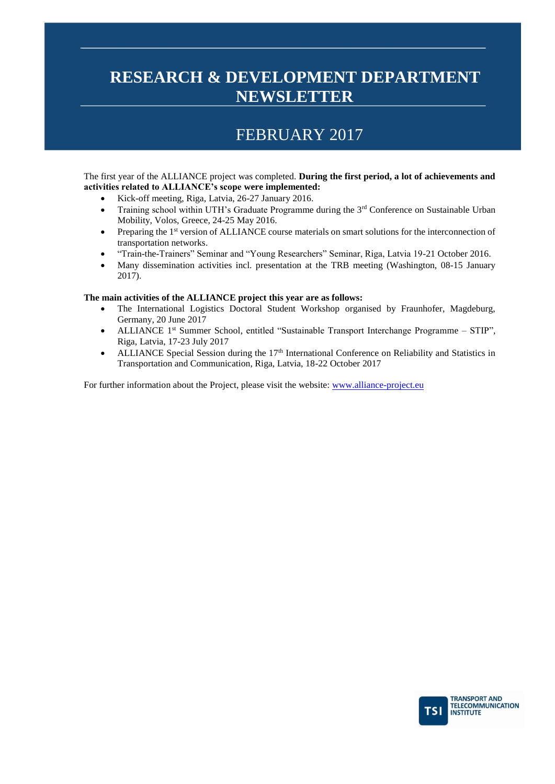## FEBRUARY 2017

The first year of the ALLIANCE project was completed. **During the first period, a lot of achievements and activities related to ALLIANCE's scope were implemented:** 

- Kick-off meeting, Riga, Latvia, 26-27 January 2016.
- Training school within UTH's Graduate Programme during the  $3<sup>rd</sup>$  Conference on Sustainable Urban Mobility, Volos, Greece, 24-25 May 2016.
- Preparing the 1<sup>st</sup> version of ALLIANCE course materials on smart solutions for the interconnection of transportation networks.
- "Train-the-Trainers" Seminar and "Young Researchers" Seminar, Riga, Latvia 19-21 October 2016.
- Many dissemination activities incl. presentation at the TRB meeting (Washington, 08-15 January 2017).

#### **The main activities of the ALLIANCE project this year are as follows:**

- The International Logistics Doctoral Student Workshop organised by Fraunhofer, Magdeburg, Germany, 20 June 2017
- ALLIANCE 1<sup>st</sup> Summer School, entitled "Sustainable Transport Interchange Programme STIP", Riga, Latvia, 17-23 July 2017
- ALLIANCE Special Session during the  $17<sup>th</sup>$  International Conference on Reliability and Statistics in Transportation and Communication, Riga, Latvia, 18-22 October 2017

For further information about the Project, please visit the website: [www.alliance-project.eu](http://www.alliance-project.eu/)

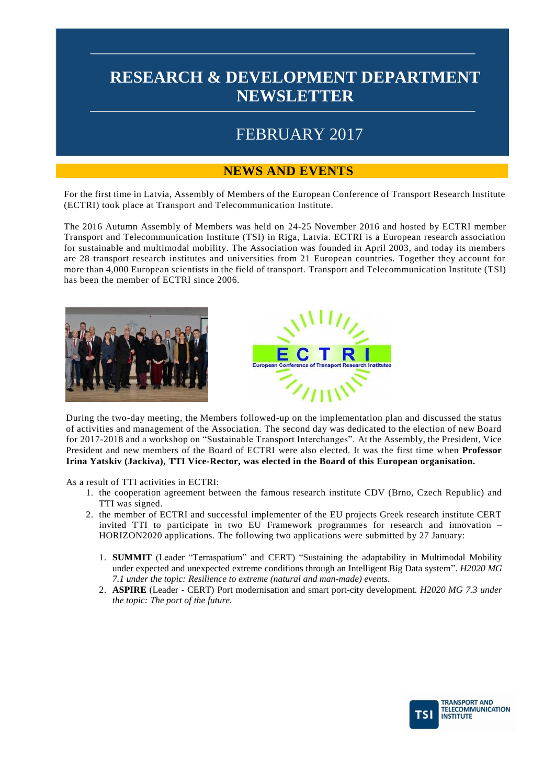# FEBRUARY 2017

### **NEWS AND EVENTS**

For the first time in Latvia, Assembly of Members of the European Conference of Transport Research Institute (ECTRI) took place at Transport and Telecommunication Institute.

The 2016 Autumn Assembly of Members was held on 24-25 November 2016 and hosted by ECTRI member Transport and Telecommunication Institute (TSI) in Riga, Latvia. ECTRI is a European research association for sustainable and multimodal mobility. The Association was founded in April 2003, and today its members are 28 transport research institutes and universities from 21 European countries. Together they account for more than 4,000 European scientists in the field of transport. Transport and Telecommunication Institute (TSI) has been the member of ECTRI since 2006.





During the two-day meeting, the Members followed-up on the implementation plan and discussed the status of activities and management of the Association. The second day was dedicated to the election of new Board for 2017-2018 and a workshop on "Sustainable Transport Interchanges". At the Assembly, the President, Vice President and new members of the Board of ECTRI were also elected. It was the first time when **Professor Irina Yatskiv (Jackiva), TTI Vice-Rector, was elected in the Board of this European organisation.**

As a result of TTI activities in ECTRI:

- 1. the cooperation agreement between the famous research institute CDV (Brno, Czech Republic) and TTI was signed.
- 2. the member of ECTRI and successful implementer of the EU projects Greek research institute CERT invited TTI to participate in two EU Framework programmes for research and innovation – HORIZON2020 applications. The following two applications were submitted by 27 January:
	- 1. **SUMMIT** (Leader "Terraspatium" and CERT) "Sustaining the adaptability in Multimodal Mobility under expected and unexpected extreme conditions through an Intelligent Big Data system". *H2020 MG 7.1 under the topic: Resilience to extreme (natural and man-made) events*.
	- 2. **ASPIRE** (Leader CERT) Port modernisation and smart port-city development. *H2020 MG 7.3 under the topic: The port of the future.*

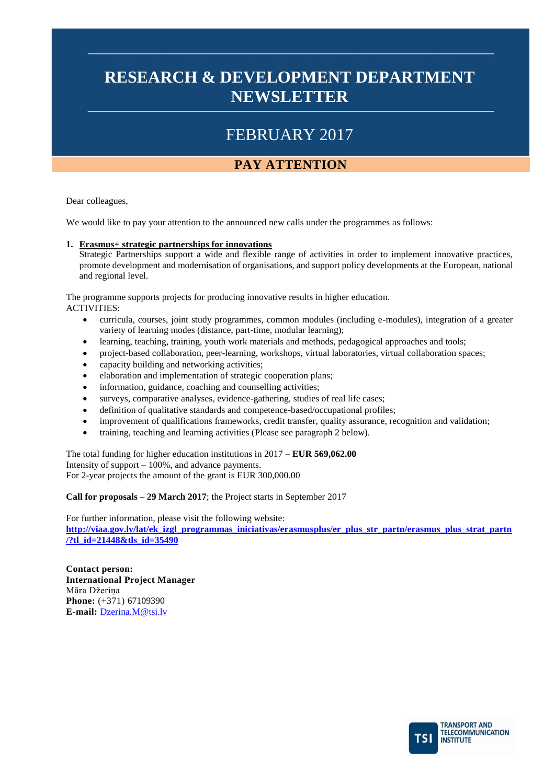# FEBRUARY 2017

## **PAY ATTENTION**

Dear colleagues,

We would like to pay your attention to the announced new calls under the programmes as follows:

### **1. Erasmus+ strategic partnerships for innovations**

Strategic Partnerships support a wide and flexible range of activities in order to implement innovative practices, promote development and modernisation of organisations, and support policy developments at the European, national and regional level.

The programme supports projects for producing innovative results in higher education.

ACTIVITIES:

- curricula, courses, joint study programmes, common modules (including e-modules), integration of a greater variety of learning modes (distance, part-time, modular learning);
- learning, teaching, training, youth work materials and methods, pedagogical approaches and tools;
- project-based collaboration, peer-learning, workshops, virtual laboratories, virtual collaboration spaces;
- capacity building and networking activities;
- elaboration and implementation of strategic cooperation plans;
- information, guidance, coaching and counselling activities;
- surveys, comparative analyses, evidence-gathering, studies of real life cases;
- definition of qualitative standards and competence-based/occupational profiles;
- improvement of qualifications frameworks, credit transfer, quality assurance, recognition and validation;
- training, teaching and learning activities (Please see paragraph 2 below).

The total funding for higher education institutions in 2017 – **EUR 569,062.00** Intensity of support  $-100\%$ , and advance payments. For 2-year projects the amount of the grant is EUR 300,000.00

**Call for proposals – 29 March 2017**; the Project starts in September 2017

For further information, please visit the following website: **[http://viaa.gov.lv/lat/ek\\_izgl\\_programmas\\_iniciativas/erasmusplus/er\\_plus\\_str\\_partn/erasmus\\_plus\\_strat\\_partn](http://viaa.gov.lv/lat/ek_izgl_programmas_iniciativas/erasmusplus/er_plus_str_partn/erasmus_plus_strat_partn/?tl_id=21448&tls_id=35490) [/?tl\\_id=21448&tls\\_id=35490](http://viaa.gov.lv/lat/ek_izgl_programmas_iniciativas/erasmusplus/er_plus_str_partn/erasmus_plus_strat_partn/?tl_id=21448&tls_id=35490)**

**Contact person: International Project Manager** Māra Džeriņa **Phone:** (+371) 67109390 **E-mail:** [Dzerina.M@tsi.lv](mailto:Dzerina.M@tsi.lv)